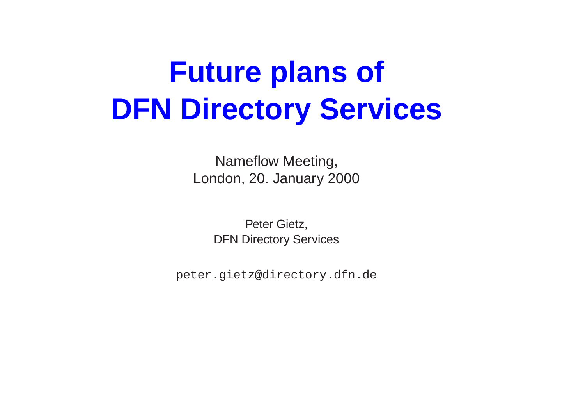# **Future plans of DFN Directory Services**

Nameflow Meeting, London, 20. January 2000

> Peter Gietz, DFN Directory Services

peter.gietz@directory.dfn.de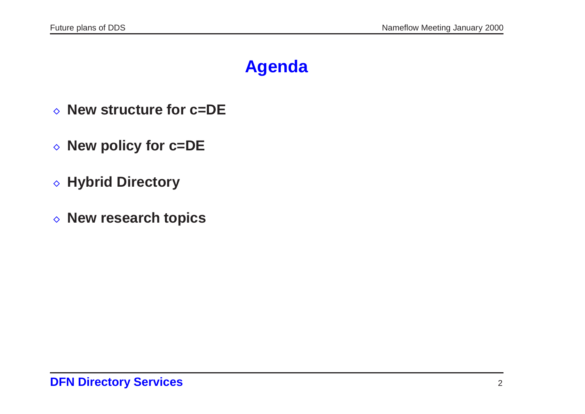## **Agenda**

- **New structure for c=DE New policy for c=DE**
- ⊙ New policy for <mark>c:</mark><br>◇ Hybrid Directory
- 
- **◇ Hybrid Directory<br>◇ New research topics**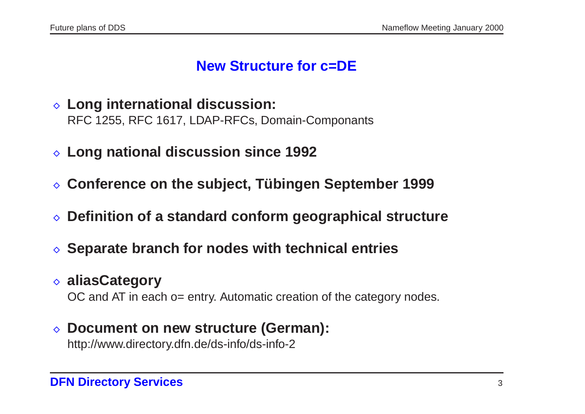#### **New Structure for c=DE**

- **Long international discussion:** RFC 1255, RFC 1617, LDAP-RFCs, Domain-Componants
- **Long national discussion since <sup>1992</sup>**
- **Conference on the subject, <sup>T</sup> ¨ubingen September <sup>1999</sup> Definition of <sup>a</sup> standard conform geographical structure**
- **Separate branch for nodes with technical entries**
- **△ Separate branch for nodes with technical entries<br>◇ aliasCategory**

OC and AT in each o= entry. Automatic creation of the category nodes.

### **Document on new structure (German):**

http://www.directory.dfn.de/ds-info/ds-info-2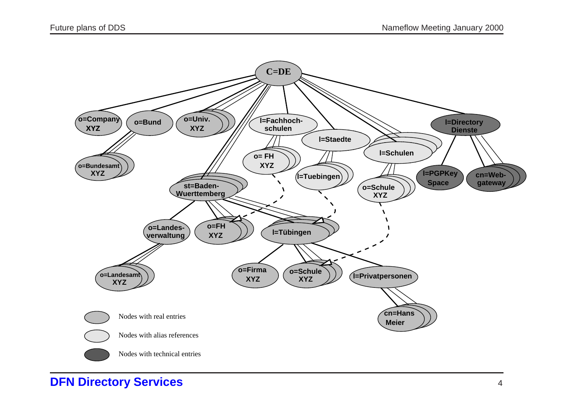

**DFN Directory Services**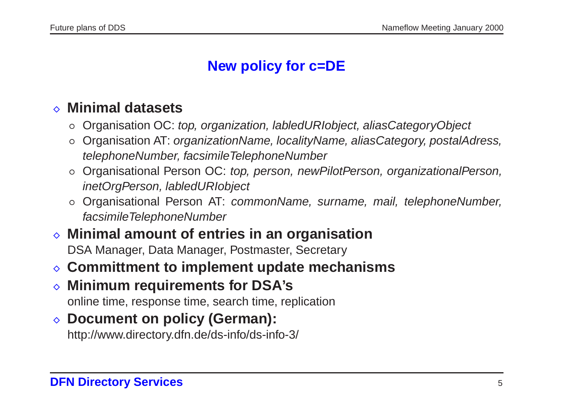### **New policy for c=DE**

#### **Minimal datasets**

- o Organisation OC: top, organization, labledURIobject, aliasCategoryObject
- Minimal datasets<br>○ Organisation OC: *top, organization, labledURIobject, aliasCategoryObject*<br>○ Organisation AT: *organizationName, localityName, aliasCategory, postalAdress,* telephoneNumber, facsimileTelephoneNumber © Organisation OC: top, organization, labledURlobject, aliasCategoryObject<br>
⊙ Organisation AT: organizationName, localityName, aliasCategory, postalAdress,<br>
telephoneNumber, facsimileTelephoneNumber<br>
⊙ Organisational Pers
- inetOrgPerson, labledURIobject ⊙ Organisational Person OC: top, person, newPilotPerson, organizationalPerson, inetOrgPerson, labledURIobject<br>○ Organisational Person AT: commonName, surname, mail, telephoneNumber,
- facsimileTelephoneNumber inetOrgPerson, labledURlobject<br>
○ Organisational Person AT: commonName, surname,<br> *facsimileTelephoneNumber*<br>
◇ **Minimal amount of entries in an organisation**
- DSA Manager, Data Manager, Postmaster, Secretary *kacsimile lelephoneNumber*<br> **⊘ Minimal amount of entries in an organisation<br>
DSA Manager, Data Manager, Postmaster, Secretary<br>
<b>Committment to implement update mechanisms**
- $\Diamond$  Committment to implement update mechanisms
- online time, response time, search time, replication **♦ Minimum requirements for DSA's**<br> **• Document on policy (German):**
- 

http://www.directory.dfn.de/ds-info/ds-info-3/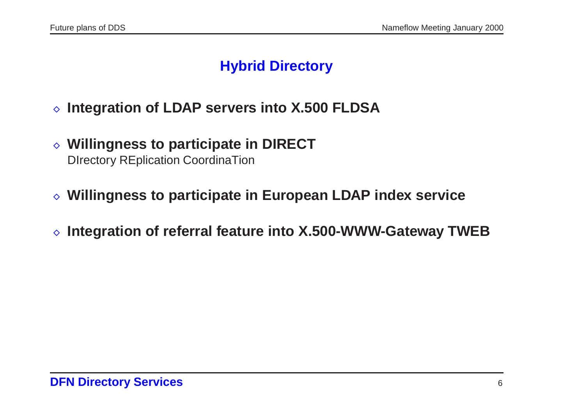### **Hybrid Directory**

- **Integration of LDAP servers into X.500 FLDSA Willingness to participate in DIRECT**
- DIrectory REplication CoordinaTion **Willingness to participate in European LDAP index service**
- 
- **Integration of referral feature into X.500-WWW-Gateway TWEB**